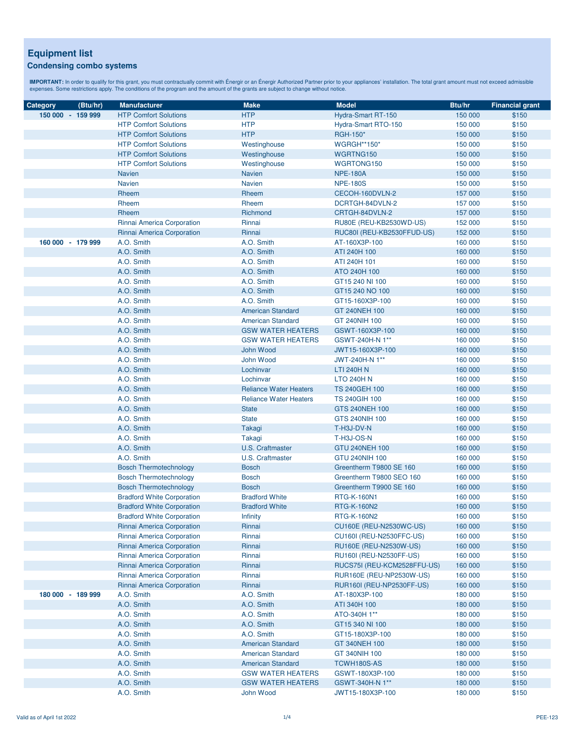# **Equipment list**

## **Condensing combo systems**

| Category          | (Btu/hr) | <b>Manufacturer</b>                                                    | <b>Make</b>                                          | <b>Model</b>                                  | Btu/hr             | <b>Financial grant</b> |
|-------------------|----------|------------------------------------------------------------------------|------------------------------------------------------|-----------------------------------------------|--------------------|------------------------|
| 150 000 - 159 999 |          | <b>HTP Comfort Solutions</b>                                           | <b>HTP</b>                                           | Hydra-Smart RT-150                            | 150 000            | \$150                  |
|                   |          | <b>HTP Comfort Solutions</b>                                           | <b>HTP</b>                                           | Hydra-Smart RTO-150                           | 150 000            | \$150                  |
|                   |          | <b>HTP Comfort Solutions</b>                                           | <b>HTP</b>                                           | <b>RGH-150*</b>                               | 150 000            | \$150                  |
|                   |          | <b>HTP Comfort Solutions</b>                                           | Westinghouse                                         | <b>WGRGH**150*</b>                            | 150 000            | \$150                  |
|                   |          | <b>HTP Comfort Solutions</b>                                           | Westinghouse                                         | WGRTNG150                                     | 150 000            | \$150                  |
|                   |          | <b>HTP Comfort Solutions</b>                                           | Westinghouse                                         | WGRTONG150                                    | 150 000            | \$150                  |
|                   |          | <b>Navien</b>                                                          | <b>Navien</b>                                        | <b>NPE-180A</b>                               | 150 000            | \$150                  |
|                   |          | <b>Navien</b>                                                          | <b>Navien</b>                                        | <b>NPE-180S</b>                               | 150 000            | \$150                  |
|                   |          | Rheem                                                                  | Rheem                                                | CECOH-160DVLN-2                               | 157 000            | \$150                  |
|                   |          | Rheem                                                                  | Rheem                                                | DCRTGH-84DVLN-2                               | 157 000            | \$150                  |
|                   |          | Rheem                                                                  | Richmond                                             | CRTGH-84DVLN-2                                | 157 000            | \$150                  |
|                   |          | Rinnai America Corporation                                             | Rinnai                                               | RU80E (REU-KB2530WD-US)                       | 152 000            | \$150                  |
|                   |          | Rinnai America Corporation                                             | Rinnai                                               | RUC80I (REU-KB2530FFUD-US)                    | 152 000            | \$150                  |
| 160 000 - 179 999 |          | A.O. Smith                                                             | A.O. Smith                                           | AT-160X3P-100                                 | 160 000            | \$150                  |
|                   |          | A.O. Smith                                                             | A.O. Smith                                           | ATI 240H 100                                  | 160 000            | \$150                  |
|                   |          | A.O. Smith                                                             | A.O. Smith                                           | ATI 240H 101                                  | 160 000            | \$150                  |
|                   |          | A.O. Smith                                                             | A.O. Smith                                           | ATO 240H 100                                  | 160 000            | \$150                  |
|                   |          | A.O. Smith                                                             | A.O. Smith                                           | GT15 240 NI 100                               | 160 000            | \$150                  |
|                   |          | A.O. Smith                                                             | A.O. Smith                                           | GT15 240 NO 100                               | 160 000            | \$150                  |
|                   |          | A.O. Smith                                                             | A.O. Smith                                           | GT15-160X3P-100                               | 160 000            | \$150                  |
|                   |          | A.O. Smith                                                             | <b>American Standard</b>                             | GT 240NEH 100                                 | 160 000            | \$150                  |
|                   |          | A.O. Smith                                                             | <b>American Standard</b>                             | GT 240NIH 100                                 | 160 000            | \$150                  |
|                   |          | A.O. Smith                                                             | <b>GSW WATER HEATERS</b>                             | GSWT-160X3P-100                               | 160 000            | \$150                  |
|                   |          | A.O. Smith                                                             | <b>GSW WATER HEATERS</b>                             | GSWT-240H-N 1**                               | 160 000            | \$150                  |
|                   |          | A.O. Smith                                                             | John Wood                                            | JWT15-160X3P-100                              | 160 000            | \$150                  |
|                   |          | A.O. Smith                                                             | John Wood                                            | JWT-240H-N 1**                                | 160 000            | \$150                  |
|                   |          |                                                                        | Lochinvar                                            |                                               | 160 000            |                        |
|                   |          | A.O. Smith<br>A.O. Smith                                               | Lochinvar                                            | <b>LTI 240H N</b>                             |                    | \$150<br>\$150         |
|                   |          |                                                                        | <b>Reliance Water Heaters</b>                        | <b>LTO 240H N</b><br><b>TS 240GEH 100</b>     | 160 000            | \$150                  |
|                   |          | A.O. Smith                                                             |                                                      |                                               | 160 000            |                        |
|                   |          | A.O. Smith                                                             | <b>Reliance Water Heaters</b>                        | <b>TS 240GIH 100</b>                          | 160 000            | \$150                  |
|                   |          | A.O. Smith                                                             | <b>State</b>                                         | GTS 240NEH 100                                | 160 000            | \$150                  |
|                   |          | A.O. Smith                                                             | <b>State</b>                                         | GTS 240NIH 100                                | 160 000            | \$150                  |
|                   |          | A.O. Smith                                                             | Takagi                                               | T-H3J-DV-N<br>T-H3J-OS-N                      | 160 000<br>160 000 | \$150                  |
|                   |          | A.O. Smith<br>A.O. Smith                                               | Takagi<br><b>U.S. Craftmaster</b>                    | GTU 240NEH 100                                |                    | \$150                  |
|                   |          |                                                                        |                                                      | GTU 240NIH 100                                | 160 000<br>160 000 | \$150                  |
|                   |          | A.O. Smith                                                             | U.S. Craftmaster                                     | Greentherm T9800 SE 160                       |                    | \$150                  |
|                   |          | <b>Bosch Thermotechnology</b>                                          | <b>Bosch</b>                                         |                                               | 160 000            | \$150                  |
|                   |          | <b>Bosch Thermotechnology</b>                                          | <b>Bosch</b>                                         | Greentherm T9800 SEO 160                      | 160 000            | \$150                  |
|                   |          | <b>Bosch Thermotechnology</b>                                          | <b>Bosch</b>                                         | Greentherm T9900 SE 160<br><b>RTG-K-160N1</b> | 160 000            | \$150                  |
|                   |          | <b>Bradford White Corporation</b><br><b>Bradford White Corporation</b> | <b>Bradford White</b><br><b>Bradford White</b>       | <b>RTG-K-160N2</b>                            | 160 000<br>160 000 | \$150<br>\$150         |
|                   |          |                                                                        |                                                      |                                               |                    |                        |
|                   |          | <b>Bradford White Corporation</b><br>Rinnai America Corporation        | <b>Infinity</b><br>Rinnai                            | RTG-K-160N2<br>CU160E (REU-N2530WC-US)        | 160 000<br>160 000 | \$150<br>\$150         |
|                   |          | Rinnai America Corporation                                             | Rinnai                                               | CU160I (REU-N2530FFC-US)                      | 160 000            | \$150                  |
|                   |          | Rinnai America Corporation                                             | Rinnai                                               | RU160E (REU-N2530W-US)                        | 160 000            | \$150                  |
|                   |          | Rinnai America Corporation                                             | Rinnai                                               | RU160I (REU-N2530FF-US)                       | 160 000            | \$150                  |
|                   |          | Rinnai America Corporation                                             | Rinnai                                               | RUCS75I (REU-KCM2528FFU-US)                   | 160 000            | \$150                  |
|                   |          | Rinnai America Corporation                                             | Rinnai                                               | RUR160E (REU-NP2530W-US)                      | 160 000            | \$150                  |
|                   |          | Rinnai America Corporation                                             | Rinnai                                               | RUR160I (REU-NP2530FF-US)                     | 160 000            | \$150                  |
| 180 000 - 189 999 |          | A.O. Smith                                                             | A.O. Smith                                           | AT-180X3P-100                                 | 180 000            | \$150                  |
|                   |          | A.O. Smith                                                             | A.O. Smith                                           | ATI 340H 100                                  | 180 000            | \$150                  |
|                   |          | A.O. Smith                                                             | A.O. Smith                                           | ATO-340H 1**                                  | 180 000            | \$150                  |
|                   |          |                                                                        | A.O. Smith                                           |                                               |                    | \$150                  |
|                   |          | A.O. Smith<br>A.O. Smith                                               | A.O. Smith                                           | GT15 340 NI 100<br>GT15-180X3P-100            | 180 000<br>180 000 | \$150                  |
|                   |          |                                                                        |                                                      |                                               |                    |                        |
|                   |          | A.O. Smith                                                             | <b>American Standard</b>                             | GT 340NEH 100                                 | 180 000            | \$150                  |
|                   |          | A.O. Smith<br>A.O. Smith                                               | <b>American Standard</b><br><b>American Standard</b> | GT 340NIH 100<br>TCWH180S-AS                  | 180 000            | \$150<br>\$150         |
|                   |          |                                                                        | <b>GSW WATER HEATERS</b>                             |                                               | 180 000            | \$150                  |
|                   |          | A.O. Smith<br>A.O. Smith                                               | <b>GSW WATER HEATERS</b>                             | GSWT-180X3P-100<br>GSWT-340H-N 1**            | 180 000<br>180 000 | \$150                  |
|                   |          | A.O. Smith                                                             | John Wood                                            | JWT15-180X3P-100                              | 180 000            | \$150                  |
|                   |          |                                                                        |                                                      |                                               |                    |                        |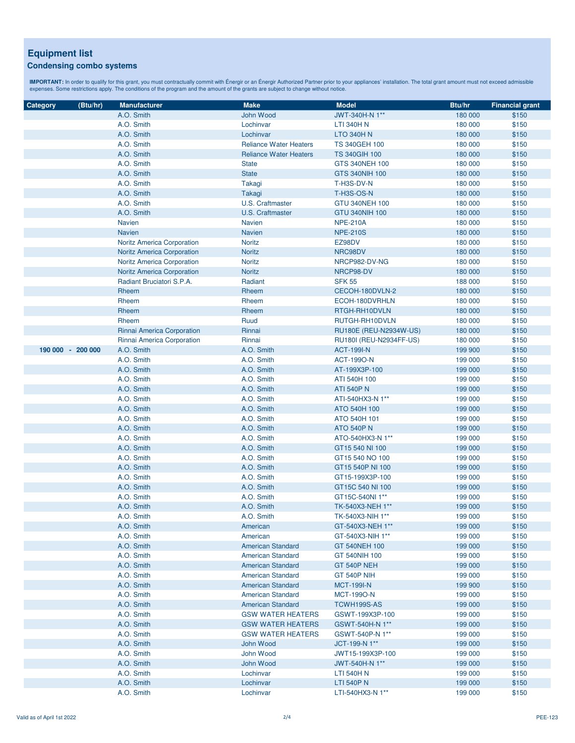### **Equipment list Condensing combo systems**

| Category          | (Btu/hr) | <b>Manufacturer</b>               | <b>Make</b>                   | <b>Model</b>            | <b>Btu/hr</b> | <b>Financial grant</b> |
|-------------------|----------|-----------------------------------|-------------------------------|-------------------------|---------------|------------------------|
|                   |          | A.O. Smith                        | John Wood                     | JWT-340H-N 1**          | 180 000       | \$150                  |
|                   |          | A.O. Smith                        | Lochinvar                     | <b>LTI 340H N</b>       | 180 000       | \$150                  |
|                   |          | A.O. Smith                        | Lochinvar                     | <b>LTO 340H N</b>       | 180 000       | \$150                  |
|                   |          | A.O. Smith                        | <b>Reliance Water Heaters</b> | <b>TS 340GEH 100</b>    | 180 000       | \$150                  |
|                   |          | A.O. Smith                        | <b>Reliance Water Heaters</b> | <b>TS 340GIH 100</b>    | 180 000       | \$150                  |
|                   |          | A.O. Smith                        | <b>State</b>                  | GTS 340NEH 100          | 180 000       | \$150                  |
|                   |          | A.O. Smith                        | <b>State</b>                  | <b>GTS 340NIH 100</b>   | 180 000       | \$150                  |
|                   |          | A.O. Smith                        | Takagi                        | T-H3S-DV-N              | 180 000       | \$150                  |
|                   |          | A.O. Smith                        | Takagi                        | <b>T-H3S-OS-N</b>       | 180 000       | \$150                  |
|                   |          | A.O. Smith                        | U.S. Craftmaster              | <b>GTU 340NEH 100</b>   | 180 000       | \$150                  |
|                   |          | A.O. Smith                        | <b>U.S. Craftmaster</b>       |                         |               |                        |
|                   |          |                                   |                               | <b>GTU 340NIH 100</b>   | 180 000       | \$150                  |
|                   |          | <b>Navien</b>                     | <b>Navien</b>                 | <b>NPE-210A</b>         | 180 000       | \$150                  |
|                   |          | <b>Navien</b>                     | <b>Navien</b>                 | <b>NPE-210S</b>         | 180 000       | \$150                  |
|                   |          | <b>Noritz America Corporation</b> | <b>Noritz</b>                 | EZ98DV                  | 180 000       | \$150                  |
|                   |          | <b>Noritz America Corporation</b> | <b>Noritz</b>                 | NRC98DV                 | 180 000       | \$150                  |
|                   |          | <b>Noritz America Corporation</b> | <b>Noritz</b>                 | NRCP982-DV-NG           | 180 000       | \$150                  |
|                   |          | <b>Noritz America Corporation</b> | Noritz                        | NRCP98-DV               | 180 000       | \$150                  |
|                   |          | Radiant Bruciatori S.P.A.         | Radiant                       | <b>SFK 55</b>           | 188 000       | \$150                  |
|                   |          | Rheem                             | Rheem                         | CECOH-180DVLN-2         | 180 000       | \$150                  |
|                   |          | Rheem                             | Rheem                         | ECOH-180DVRHLN          | 180 000       | \$150                  |
|                   |          | Rheem                             | Rheem                         | RTGH-RH10DVLN           | 180 000       | \$150                  |
|                   |          | Rheem                             | Ruud                          | RUTGH-RH10DVLN          | 180 000       | \$150                  |
|                   |          | Rinnai America Corporation        | Rinnai                        | RU180E (REU-N2934W-US)  | 180 000       | \$150                  |
|                   |          | Rinnai America Corporation        | Rinnai                        | RU180I (REU-N2934FF-US) | 180 000       | \$150                  |
| 190 000 - 200 000 |          | A.O. Smith                        | A.O. Smith                    | <b>ACT-199I-N</b>       | 199 900       | \$150                  |
|                   |          | A.O. Smith                        | A.O. Smith                    | <b>ACT-1990-N</b>       | 199 000       | \$150                  |
|                   |          | A.O. Smith                        | A.O. Smith                    | AT-199X3P-100           | 199 000       | \$150                  |
|                   |          | A.O. Smith                        | A.O. Smith                    | ATI 540H 100            | 199 000       | \$150                  |
|                   |          | A.O. Smith                        | A.O. Smith                    | <b>ATI 540P N</b>       | 199 000       | \$150                  |
|                   |          | A.O. Smith                        | A.O. Smith                    | ATI-540HX3-N 1**        | 199 000       | \$150                  |
|                   |          | A.O. Smith                        | A.O. Smith                    | ATO 540H 100            | 199 000       | \$150                  |
|                   |          | A.O. Smith                        | A.O. Smith                    | ATO 540H 101            | 199 000       | \$150                  |
|                   |          | A.O. Smith                        | A.O. Smith                    | <b>ATO 540P N</b>       | 199 000       | \$150                  |
|                   |          | A.O. Smith                        | A.O. Smith                    | ATO-540HX3-N 1**        | 199 000       | \$150                  |
|                   |          | A.O. Smith                        | A.O. Smith                    | GT15 540 NI 100         | 199 000       | \$150                  |
|                   |          | A.O. Smith                        | A.O. Smith                    | GT15 540 NO 100         | 199 000       | \$150                  |
|                   |          | A.O. Smith                        | A.O. Smith                    | GT15 540P NI 100        | 199 000       | \$150                  |
|                   |          | A.O. Smith                        | A.O. Smith                    | GT15-199X3P-100         | 199 000       | \$150                  |
|                   |          | A.O. Smith                        | A.O. Smith                    | GT15C 540 NI 100        | 199 000       | \$150                  |
|                   |          | A.O. Smith                        | A.O. Smith                    | GT15C-540NI 1**         | 199 000       | \$150                  |
|                   |          | A.O. Smith                        | A.O. Smith                    | TK-540X3-NEH 1**        | 199 000       | \$150                  |
|                   |          | A.O. Smith                        | A.O. Smith                    | TK-540X3-NIH 1**        | 199 000       | \$150                  |
|                   |          | A.O. Smith                        | American                      | GT-540X3-NEH 1**        | 199 000       | \$150                  |
|                   |          | A.O. Smith                        | American                      | GT-540X3-NIH 1**        | 199 000       | \$150                  |
|                   |          | A.O. Smith                        | <b>American Standard</b>      | GT 540NEH 100           | 199 000       | \$150                  |
|                   |          | A.O. Smith                        | <b>American Standard</b>      | GT 540NIH 100           | 199 000       | \$150                  |
|                   |          | A.O. Smith                        | <b>American Standard</b>      | GT 540P NEH             | 199 000       | \$150                  |
|                   |          | A.O. Smith                        | <b>American Standard</b>      | <b>GT 540P NIH</b>      | 199 000       | \$150                  |
|                   |          | A.O. Smith                        | <b>American Standard</b>      | <b>MCT-199I-N</b>       | 199 900       | \$150                  |
|                   |          | A.O. Smith                        | <b>American Standard</b>      | <b>MCT-1990-N</b>       | 199 000       | \$150                  |
|                   |          | A.O. Smith                        | <b>American Standard</b>      | TCWH199S-AS             | 199 000       | \$150                  |
|                   |          | A.O. Smith                        | <b>GSW WATER HEATERS</b>      | GSWT-199X3P-100         | 199 000       | \$150                  |
|                   |          | A.O. Smith                        | <b>GSW WATER HEATERS</b>      | GSWT-540H-N 1**         | 199 000       | \$150                  |
|                   |          | A.O. Smith                        | <b>GSW WATER HEATERS</b>      | GSWT-540P-N 1**         | 199 000       | \$150                  |
|                   |          |                                   |                               |                         |               |                        |
|                   |          | A.O. Smith                        | John Wood                     | JCT-199-N 1**           | 199 000       | \$150                  |
|                   |          | A.O. Smith                        | John Wood                     | JWT15-199X3P-100        | 199 000       | \$150                  |
|                   |          | A.O. Smith                        | John Wood                     | JWT-540H-N 1**          | 199 000       | \$150                  |
|                   |          | A.O. Smith                        | Lochinvar                     | <b>LTI 540H N</b>       | 199 000       | \$150                  |
|                   |          | A.O. Smith                        | Lochinvar                     | <b>LTI 540P N</b>       | 199 000       | \$150                  |
|                   |          | A.O. Smith                        | Lochinvar                     | LTI-540HX3-N 1**        | 199 000       | \$150                  |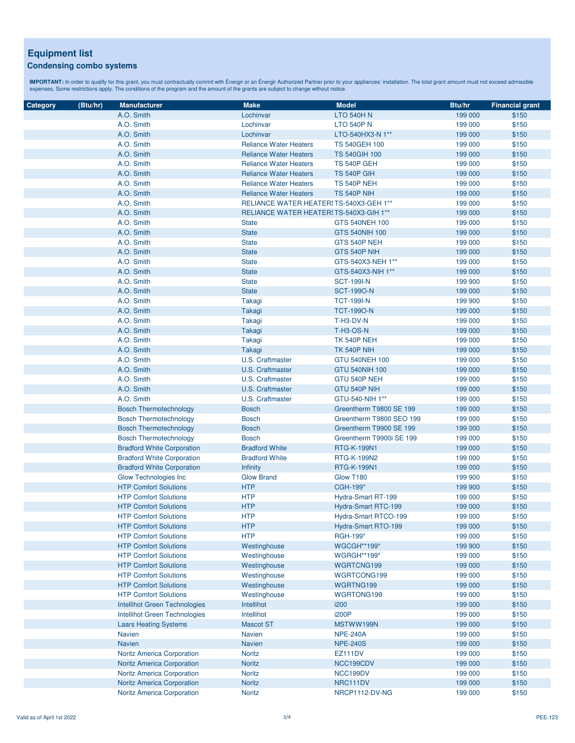### **Equipment list Condensing combo systems**

| Category | (Btu/hr) | <b>Manufacturer</b>                  | <b>Make</b>                             | <b>Model</b>             | Btu/hr  | <b>Financial grant</b> |
|----------|----------|--------------------------------------|-----------------------------------------|--------------------------|---------|------------------------|
|          |          | A.O. Smith                           | Lochinvar                               | <b>LTO 540H N</b>        | 199 000 | \$150                  |
|          |          | A.O. Smith                           | Lochinvar                               | <b>LTO 540P N</b>        | 199 000 | \$150                  |
|          |          | A.O. Smith                           | Lochinvar                               | LTO-540HX3-N 1**         | 199 000 | \$150                  |
|          |          | A.O. Smith                           | <b>Reliance Water Heaters</b>           | <b>TS 540GEH 100</b>     | 199 000 | \$150                  |
|          |          |                                      | <b>Reliance Water Heaters</b>           | <b>TS 540GIH 100</b>     |         | \$150                  |
|          |          | A.O. Smith                           | <b>Reliance Water Heaters</b>           |                          | 199 000 |                        |
|          |          | A.O. Smith                           |                                         | TS 540P GEH              | 199 000 | \$150<br>\$150         |
|          |          | A.O. Smith                           | <b>Reliance Water Heaters</b>           | <b>TS 540P GIH</b>       | 199 000 |                        |
|          |          | A.O. Smith                           | <b>Reliance Water Heaters</b>           | <b>TS 540P NEH</b>       | 199 000 | \$150                  |
|          |          | A.O. Smith                           | <b>Reliance Water Heaters</b>           | <b>TS 540P NIH</b>       | 199 000 | \$150                  |
|          |          | A.O. Smith                           | RELIANCE WATER HEATER (TS-540X3-GEH 1** |                          | 199 000 | \$150<br>\$150         |
|          |          | A.O. Smith                           | RELIANCE WATER HEATER! TS-540X3-GIH 1** |                          | 199 000 |                        |
|          |          | A.O. Smith                           | <b>State</b>                            | GTS 540NEH 100           | 199 000 | \$150                  |
|          |          | A.O. Smith                           | <b>State</b>                            | GTS 540NIH 100           | 199 000 | \$150                  |
|          |          | A.O. Smith                           | <b>State</b>                            | GTS 540P NEH             | 199 000 | \$150                  |
|          |          | A.O. Smith                           | <b>State</b>                            | GTS 540P NIH             | 199 000 | \$150                  |
|          |          | A.O. Smith                           | <b>State</b>                            | GTS-540X3-NEH 1**        | 199 000 | \$150                  |
|          |          | A.O. Smith                           | <b>State</b>                            | GTS-540X3-NIH 1**        | 199 000 | \$150                  |
|          |          | A.O. Smith                           | <b>State</b>                            | <b>SCT-199I-N</b>        | 199 900 | \$150                  |
|          |          | A.O. Smith                           | <b>State</b>                            | <b>SCT-1990-N</b>        | 199 000 | \$150                  |
|          |          | A.O. Smith                           | Takagi                                  | <b>TCT-199I-N</b>        | 199 900 | \$150                  |
|          |          | A.O. Smith                           | Takagi                                  | <b>TCT-1990-N</b>        | 199 000 | \$150                  |
|          |          | A.O. Smith                           | Takagi                                  | T-H3-DV-N                | 199 000 | \$150                  |
|          |          | A.O. Smith                           | Takagi                                  | <b>T-H3-OS-N</b>         | 199 000 | \$150                  |
|          |          | A.O. Smith                           | Takagi                                  | <b>TK 540P NEH</b>       | 199 000 | \$150                  |
|          |          | A.O. Smith                           | Takagi                                  | <b>TK 540P NIH</b>       | 199 000 | \$150                  |
|          |          | A.O. Smith                           | U.S. Craftmaster                        | <b>GTU 540NEH 100</b>    | 199 000 | \$150                  |
|          |          | A.O. Smith                           | <b>U.S. Craftmaster</b>                 | <b>GTU 540NIH 100</b>    | 199 000 | \$150                  |
|          |          | A.O. Smith                           | U.S. Craftmaster                        | GTU 540P NEH             | 199 000 | \$150                  |
|          |          | A.O. Smith                           | <b>U.S. Craftmaster</b>                 | GTU 540P NIH             | 199 000 | \$150                  |
|          |          | A.O. Smith                           | U.S. Craftmaster                        | GTU-540-NIH 1**          | 199 000 | \$150                  |
|          |          | <b>Bosch Thermotechnology</b>        | <b>Bosch</b>                            | Greentherm T9800 SE 199  | 199 000 | \$150                  |
|          |          | <b>Bosch Thermotechnology</b>        | <b>Bosch</b>                            | Greentherm T9800 SEO 199 | 199 000 | \$150                  |
|          |          | <b>Bosch Thermotechnology</b>        | <b>Bosch</b>                            | Greentherm T9900 SE 199  | 199 000 | \$150                  |
|          |          | <b>Bosch Thermotechnology</b>        | <b>Bosch</b>                            | Greentherm T9900i SE 199 | 199 000 | \$150                  |
|          |          | <b>Bradford White Corporation</b>    | <b>Bradford White</b>                   | <b>RTG-K-199N1</b>       | 199 000 | \$150                  |
|          |          | <b>Bradford White Corporation</b>    | <b>Bradford White</b>                   | RTG-K-199N2              | 199 000 | \$150                  |
|          |          | <b>Bradford White Corporation</b>    | <b>Infinity</b>                         | RTG-K-199N1              | 199 000 | \$150                  |
|          |          | Glow Technologies Inc                | <b>Glow Brand</b>                       | Glow T180                | 199 900 | \$150                  |
|          |          | <b>HTP Comfort Solutions</b>         | <b>HTP</b>                              | CGH-199*                 | 199 900 | \$150                  |
|          |          | <b>HTP Comfort Solutions</b>         | <b>HTP</b>                              | Hydra-Smart RT-199       | 199 000 | \$150                  |
|          |          | <b>HTP Comfort Solutions</b>         | <b>HTP</b>                              | Hydra-Smart RTC-199      | 199 000 | \$150                  |
|          |          | <b>HTP Comfort Solutions</b>         | <b>HTP</b>                              | Hydra-Smart RTCO-199     | 199 000 | \$150                  |
|          |          | <b>HTP Comfort Solutions</b>         | <b>HTP</b>                              | Hydra-Smart RTO-199      | 199 000 | \$150                  |
|          |          | <b>HTP Comfort Solutions</b>         | <b>HTP</b>                              | RGH-199*                 | 199 000 | \$150                  |
|          |          | <b>HTP Comfort Solutions</b>         | Westinghouse                            | <b>WGCGH**199*</b>       | 199 900 | \$150                  |
|          |          | <b>HTP Comfort Solutions</b>         | Westinghouse                            | <b>WGRGH**199*</b>       | 199 000 | \$150                  |
|          |          | <b>HTP Comfort Solutions</b>         | Westinghouse                            | WGRTCNG199               | 199 000 | \$150                  |
|          |          | <b>HTP Comfort Solutions</b>         | Westinghouse                            | WGRTCONG199              | 199 000 | \$150                  |
|          |          | <b>HTP Comfort Solutions</b>         | Westinghouse                            | WGRTNG199                | 199 000 | \$150                  |
|          |          | <b>HTP Comfort Solutions</b>         | Westinghouse                            | WGRTONG199               | 199 000 | \$150                  |
|          |          | <b>Intellihot Green Technologies</b> | Intellihot                              | i200                     | 199 000 | \$150                  |
|          |          | Intellihot Green Technologies        | Intellihot                              | <b>i200P</b>             | 199 000 | \$150                  |
|          |          | <b>Laars Heating Systems</b>         | <b>Mascot ST</b>                        | MSTWW199N                | 199 000 | \$150                  |
|          |          | <b>Navien</b>                        | <b>Navien</b>                           | <b>NPE-240A</b>          | 199 000 | \$150                  |
|          |          | <b>Navien</b>                        | <b>Navien</b>                           | <b>NPE-240S</b>          | 199 000 | \$150                  |
|          |          | Noritz America Corporation           | <b>Noritz</b>                           | EZ111DV                  | 199 000 | \$150                  |
|          |          | <b>Noritz America Corporation</b>    | Noritz                                  | NCC199CDV                | 199 000 | \$150                  |
|          |          | <b>Noritz America Corporation</b>    | <b>Noritz</b>                           | NCC199DV                 | 199 000 | \$150                  |
|          |          | Noritz America Corporation           | Noritz                                  | NRC111DV                 | 199 000 | \$150                  |
|          |          | Noritz America Corporation           | Noritz                                  | NRCP1112-DV-NG           | 199 000 | \$150                  |